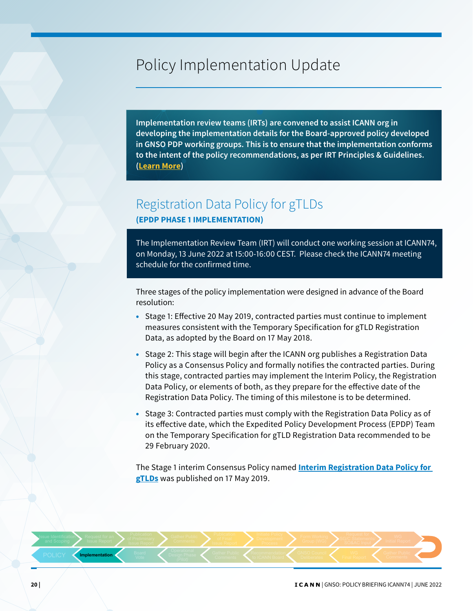# Policy Implementation Update

**Implementation review teams (IRTs) are convened to assist ICANN org in developing the implementation details for the Board-approved policy developed in GNSO PDP working groups. This is to ensure that the implementation conforms to the intent of the policy recommendations, as per IRT Principles & Guidelines. ([Learn More](https://www.icann.org/policy/implementation))**

### Registration Data Policy for gTLDs **(EPDP PHASE 1 IMPLEMENTATION)**

The Implementation Review Team (IRT) will conduct one working session at ICANN74, on Monday, 13 June 2022 at 15:00-16:00 CEST. Please check the ICANN74 meeting schedule for the confirmed time.

Three stages of the policy implementation were designed in advance of the Board resolution:

- Stage 1: Effective 20 May 2019, contracted parties must continue to implement measures consistent with the Temporary Specification for gTLD Registration Data, as adopted by the Board on 17 May 2018.
- Stage 2: This stage will begin after the ICANN org publishes a Registration Data Policy as a Consensus Policy and formally notifies the contracted parties. During this stage, contracted parties may implement the Interim Policy, the Registration Data Policy, or elements of both, as they prepare for the effective date of the Registration Data Policy. The timing of this milestone is to be determined.
- Stage 3: Contracted parties must comply with the Registration Data Policy as of its effective date, which the Expedited Policy Development Process (EPDP) Team on the Temporary Specification for gTLD Registration Data recommended to be 29 February 2020.

The Stage 1 interim Consensus Policy named **[Interim Registration Data Policy for](https://www.icann.org/resources/pages/interim-registration-data-policy-en)  [gTLDs](https://www.icann.org/resources/pages/interim-registration-data-policy-en)** was published on 17 May 2019.

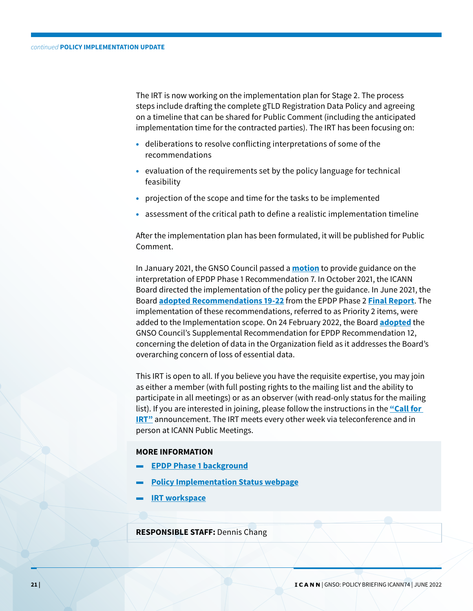The IRT is now working on the implementation plan for Stage 2. The process steps include drafting the complete gTLD Registration Data Policy and agreeing on a timeline that can be shared for Public Comment (including the anticipated implementation time for the contracted parties). The IRT has been focusing on:

- deliberations to resolve conflicting interpretations of some of the recommendations
- evaluation of the requirements set by the policy language for technical feasibility
- projection of the scope and time for the tasks to be implemented
- assessment of the critical path to define a realistic implementation timeline

After the implementation plan has been formulated, it will be published for Public Comment.

In January 2021, the GNSO Council passed a **[motion](https://gnso.icann.org/en/council/resolutions/2020-current#202101-2)** to provide guidance on the interpretation of EPDP Phase 1 Recommendation 7. In October 2021, the ICANN Board directed the implementation of the policy per the guidance. In June 2021, the Board **[adopted Recommendations 19-22](https://www.icann.org/resources/board-material/resolutions-2021-06-21-en#1.a)** from the EPDP Phase 2 **[Final Report](https://gnso.icann.org/sites/default/files/file/field-file-attach/epdp-phase-2-temp-spec-gtld-registration-data-31jul20-en.pdf)**. The implementation of these recommendations, referred to as Priority 2 items, were added to the Implementation scope. On 24 February 2022, the Board **[adopted](https://www.icann.org/resources/board-material/resolutions-2022-02-24-en#2.b)** the GNSO Council's Supplemental Recommendation for EPDP Recommendation 12, concerning the deletion of data in the Organization field as it addresses the Board's overarching concern of loss of essential data.

This IRT is open to all. If you believe you have the requisite expertise, you may join as either a member (with full posting rights to the mailing list and the ability to participate in all meetings) or as an observer (with read-only status for the mailing list). If you are interested in joining, please follow the instructions in the **["Call for](https://community.icann.org/display/RDPIRT/Call+for+IRT)  IRT**" announcement. The IRT meets every other week via teleconference and in person at ICANN Public Meetings.

#### **MORE INFORMATION**

- **[EPDP Phase 1 background](https://gnso.icann.org/en/group-activities/active/gtld-registration-data-epdp)**
- **[Policy Implementation Status webpage](https://www.icann.org/resources/pages/registration-data-policy-gtlds-epdp-1-2019-07-30-en)**
- **[IRT workspace](https://community.icann.org/display/RDPIRT)**

**RESPONSIBLE STAFF:** Dennis Chang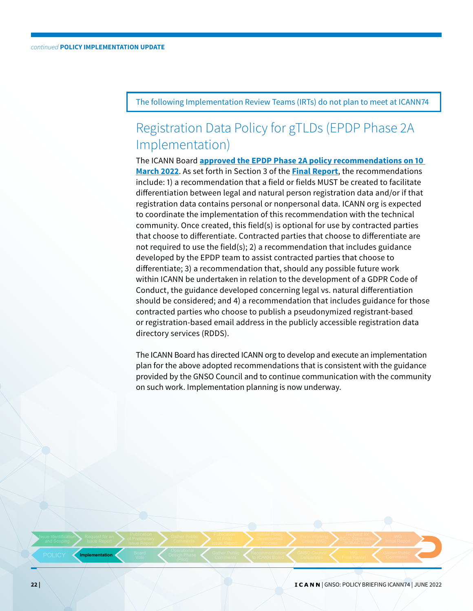The following Implementation Review Teams (IRTs) do not plan to meet at ICANN74

## Registration Data Policy for gTLDs (EPDP Phase 2A Implementation)

The ICANN Board **[approved the EPDP Phase 2A policy recommendations on 10](https://www.icann.org/resources/board-material/resolutions-2022-03-10-en#2.b)  [March 2022](https://www.icann.org/resources/board-material/resolutions-2022-03-10-en#2.b)**. As set forth in Section 3 of the **[Final Report](https://gnso.icann.org/sites/default/files/file/field-file-attach/epdp-phase-2a-updated-final-report-13sep21-en.pdf)**, the recommendations include: 1) a recommendation that a field or fields MUST be created to facilitate differentiation between legal and natural person registration data and/or if that registration data contains personal or nonpersonal data. ICANN org is expected to coordinate the implementation of this recommendation with the technical community. Once created, this field(s) is optional for use by contracted parties that choose to differentiate. Contracted parties that choose to differentiate are not required to use the field(s); 2) a recommendation that includes guidance developed by the EPDP team to assist contracted parties that choose to differentiate; 3) a recommendation that, should any possible future work within ICANN be undertaken in relation to the development of a GDPR Code of Conduct, the guidance developed concerning legal vs. natural differentiation should be considered; and 4) a recommendation that includes guidance for those contracted parties who choose to publish a pseudonymized registrant-based or registration-based email address in the publicly accessible registration data directory services (RDDS).

The ICANN Board has directed ICANN org to develop and execute an implementation plan for the above adopted recommendations that is consistent with the guidance provided by the GNSO Council and to continue communication with the community on such work. Implementation planning is now underway.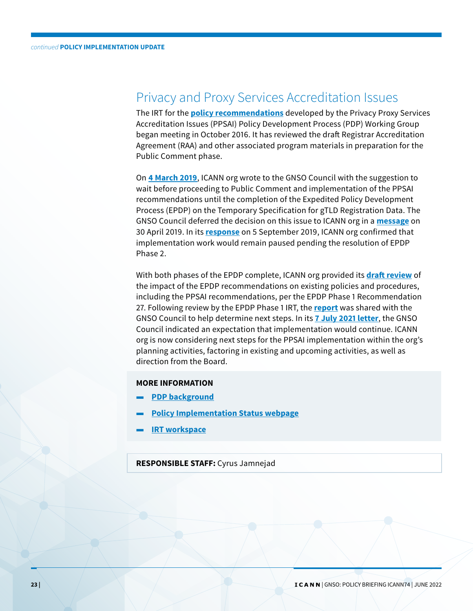### Privacy and Proxy Services Accreditation Issues

The IRT for the **[policy recommendations](https://gnso.icann.org/sites/default/files/filefield_48305/ppsai-final-07dec15-en.pdf)** developed by the Privacy Proxy Services Accreditation Issues (PPSAI) Policy Development Process (PDP) Working Group began meeting in October 2016. It has reviewed the draft Registrar Accreditation Agreement (RAA) and other associated program materials in preparation for the Public Comment phase.

On **[4 March 2019](https://www.icann.org/en/system/files/correspondence/namazi-to-drazek-et-al-04mar19-en.pdf)**, ICANN org wrote to the GNSO Council with the suggestion to wait before proceeding to Public Comment and implementation of the PPSAI recommendations until the completion of the Expedited Policy Development Process (EPDP) on the Temporary Specification for gTLD Registration Data. The GNSO Council deferred the decision on this issue to ICANN org in a **[message](https://www.icann.org/en/system/files/correspondence/drazek-et-al-to-namazi-30apr19-en.pdf)** on 30 April 2019. In its **[response](https://www.icann.org/en/system/files/correspondence/namazi-to-drazek-et-al-05sep19-en.pdf)** on 5 September 2019, ICANN org confirmed that implementation work would remain paused pending the resolution of EPDP Phase 2.

With both phases of the EPDP complete, ICANN org provided its **[draft review](https://mm.icann.org/pipermail/irt.regdatapolicy/2021-January/000636.html)** of the impact of the EPDP recommendations on existing policies and procedures, including the PPSAI recommendations, per the EPDP Phase 1 Recommendation 27. Following review by the EPDP Phase 1 IRT, the **[report](https://community.icann.org/display/RDPIRT/RegDataPolicy+Implementation+Documents?preview=/124847947/159482608/EPDPP1Rec27Wave1.5-23feb21-0001.pdf)** was shared with the GNSO Council to help determine next steps. In its **[7 July 2021 letter](https://gnso.icann.org/sites/default/files/file/field-file-attach/gnso-council-to-lentz-07jul21-en.pdf)**, the GNSO Council indicated an expectation that implementation would continue. ICANN org is now considering next steps for the PPSAI implementation within the org's planning activities, factoring in existing and upcoming activities, as well as direction from the Board.

### **MORE INFORMATION**

- **[PDP background](https://gnso.icann.org/en/group-activities/active/ppsai)**
- **[Policy Implementation Status webpage](https://www.icann.org/resources/pages/ppsai-2016-08-18-en)**
- **[IRT workspace](https://community.icann.org/x/VA2sAw )**

### **RESPONSIBLE STAFF:** Cyrus Jamnejad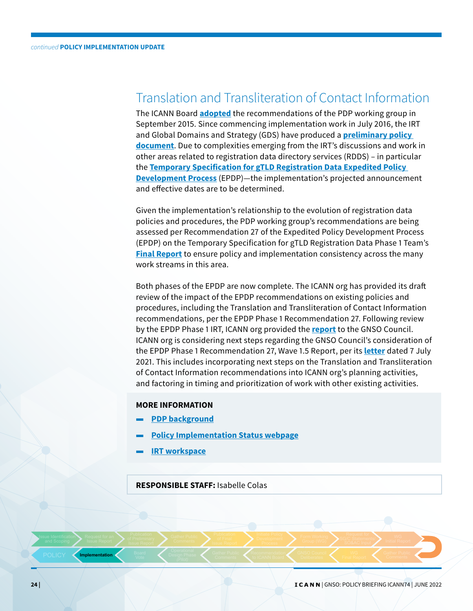### Translation and Transliteration of Contact Information

The ICANN Board **[adopted](https://www.icann.org/resources/board-material/resolutions-2015-09-28-en)** the recommendations of the PDP working group in September 2015. Since commencing implementation work in July 2016, the IRT and Global Domains and Strategy (GDS) have produced a **[preliminary policy](https://community.icann.org/display/gnsottcii/IRT+Meetings+and+Discussion+Materials)  [document](https://community.icann.org/display/gnsottcii/IRT+Meetings+and+Discussion+Materials)**. Due to complexities emerging from the IRT's discussions and work in other areas related to registration data directory services (RDDS) – in particular the **[Temporary Specification for gTLD Registration Data Expedited Policy](https://gnso.icann.org/en/group-activities/active/gtld-registration-data-epdp)  [Development Process](https://gnso.icann.org/en/group-activities/active/gtld-registration-data-epdp)** (EPDP)—the implementation's projected announcement and effective dates are to be determined.

Given the implementation's relationship to the evolution of registration data policies and procedures, the PDP working group's recommendations are being assessed per Recommendation 27 of the Expedited Policy Development Process (EPDP) on the Temporary Specification for gTLD Registration Data Phase 1 Team's **[Final Report](https://gnso.icann.org/sites/default/files/file/field-file-attach/epdp-gtld-registration-data-specs-final-20feb19-en.pdf)** to ensure policy and implementation consistency across the many work streams in this area.

Both phases of the EPDP are now complete. The ICANN org has provided its draft review of the impact of the EPDP recommendations on existing policies and procedures, including the Translation and Transliteration of Contact Information recommendations, per the EPDP Phase 1 Recommendation 27. Following review by the EPDP Phase 1 IRT, ICANN org provided the **[report](https://community.icann.org/display/RDPIRT/RegDataPolicy+Implementation+Documents?preview=/124847947/159482608/EPDPP1Rec27Wave1.5-23feb21-0001.pdf)** to the GNSO Council. ICANN org is considering next steps regarding the GNSO Council's consideration of the EPDP Phase 1 Recommendation 27, Wave 1.5 Report, per its **[letter](https://gnso.icann.org/sites/default/files/file/field-file-attach/gnso-council-to-lentz-07jul21-en.pdf)** dated 7 July 2021. This includes incorporating next steps on the Translation and Transliteration of Contact Information recommendations into ICANN org's planning activities, and factoring in timing and prioritization of work with other existing activities.

### **MORE INFORMATION**

- **[PDP background](https://gnso.icann.org/en/group-activities/active/transliteration-contact)**
- **[Policy Implementation Status webpage](https://www.icann.org/en/system/files/files/translation-transliteration-contact-information-15apr22-en.pdf)**
- **[IRT workspace](https://community.icann.org/x/0SeOAw )**

**RESPONSIBLE STAFF:** Isabelle Colas

**24 |** | GNSO: POLICY BRIEFING ICANN74 | JUNE 2022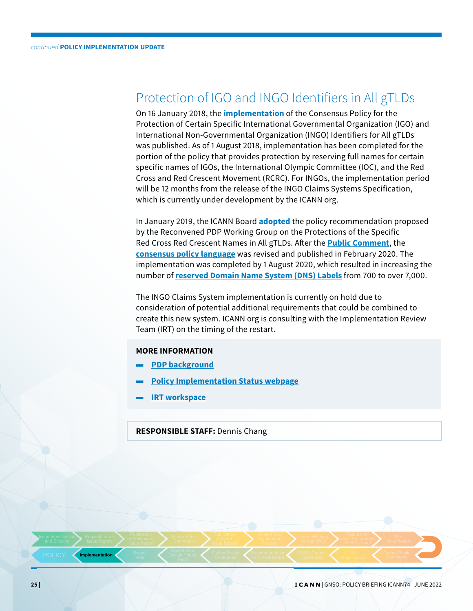## Protection of IGO and INGO Identifiers in All gTLDs

On 16 January 2018, the **[implementation](https://www.icann.org/en/announcements/details/implementation-of-the-consensus-policy-for-protection-of-certain-specific-igo-and-ingo-identifiers-for-all-gtlds-16-1-2018-en)** of the Consensus Policy for the Protection of Certain Specific International Governmental Organization (IGO) and International Non-Governmental Organization (INGO) Identifiers for All gTLDs was published. As of 1 August 2018, implementation has been completed for the portion of the policy that provides protection by reserving full names for certain specific names of IGOs, the International Olympic Committee (IOC), and the Red Cross and Red Crescent Movement (RCRC). For INGOs, the implementation period will be 12 months from the release of the INGO Claims Systems Specification, which is currently under development by the ICANN org.

In January 2019, the ICANN Board **[adopted](https://www.icann.org/resources/board-material/resolutions-2019-01-27-en#2.d)** the policy recommendation proposed by the Reconvened PDP Working Group on the Protections of the Specific Red Cross Red Crescent Names in All gTLDs. After the **[Public Comment](https://www.icann.org/en/public-comment/proceeding/implementation-plan-for-the-gnso-consensus-policy-relating-to-the-protection-of-certain-red-cross-names-23-10-2019)**, the **[consensus policy language](https://www.icann.org/resources/pages/igo-ingo-protection-policy-2018-01-16-en)** was revised and published in February 2020. The implementation was completed by 1 August 2020, which resulted in increasing the number of **[reserved Domain Name System \(DNS\) Labels](https://www.icann.org/resources/pages/reserved-2013-07-08-en)** from 700 to over 7,000.

The INGO Claims System implementation is currently on hold due to consideration of potential additional requirements that could be combined to create this new system. ICANN org is consulting with the Implementation Review Team (IRT) on the timing of the restart.

#### **MORE INFORMATION**

- **[PDP background](https://gnso.icann.org/en/group-activities/active/igo-ingo)**
- **[Policy Implementation Status webpage](https://www.icann.org/resources/pages/igo-ingo-2016-06-27-en)**
- **[IRT workspace](https://community.icann.org/x/RJFCAw  )**

### **RESPONSIBLE STAFF:** Dennis Chang